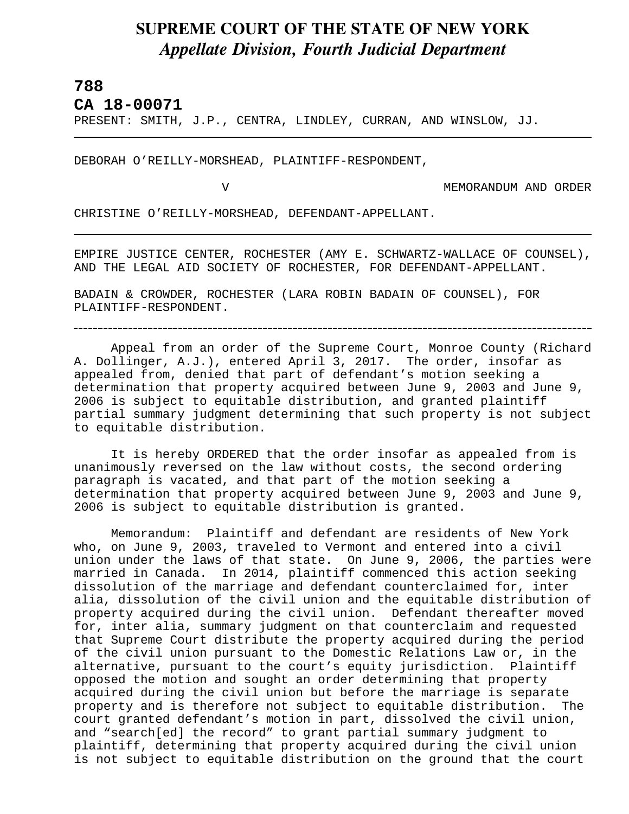## **SUPREME COURT OF THE STATE OF NEW YORK** *Appellate Division, Fourth Judicial Department*

## **788**

L

**CA 18-00071** 

PRESENT: SMITH, J.P., CENTRA, LINDLEY, CURRAN, AND WINSLOW, JJ.

DEBORAH O'REILLY-MORSHEAD, PLAINTIFF-RESPONDENT,

V MEMORANDUM AND ORDER

CHRISTINE O'REILLY-MORSHEAD, DEFENDANT-APPELLANT.

EMPIRE JUSTICE CENTER, ROCHESTER (AMY E. SCHWARTZ-WALLACE OF COUNSEL), AND THE LEGAL AID SOCIETY OF ROCHESTER, FOR DEFENDANT-APPELLANT.

BADAIN & CROWDER, ROCHESTER (LARA ROBIN BADAIN OF COUNSEL), FOR PLAINTIFF-RESPONDENT.

Appeal from an order of the Supreme Court, Monroe County (Richard A. Dollinger, A.J.), entered April 3, 2017. The order, insofar as appealed from, denied that part of defendant's motion seeking a determination that property acquired between June 9, 2003 and June 9, 2006 is subject to equitable distribution, and granted plaintiff partial summary judgment determining that such property is not subject to equitable distribution.

It is hereby ORDERED that the order insofar as appealed from is unanimously reversed on the law without costs, the second ordering paragraph is vacated, and that part of the motion seeking a determination that property acquired between June 9, 2003 and June 9, 2006 is subject to equitable distribution is granted.

Memorandum: Plaintiff and defendant are residents of New York who, on June 9, 2003, traveled to Vermont and entered into a civil union under the laws of that state. On June 9, 2006, the parties were married in Canada. In 2014, plaintiff commenced this action seeking dissolution of the marriage and defendant counterclaimed for, inter alia, dissolution of the civil union and the equitable distribution of property acquired during the civil union. Defendant thereafter moved for, inter alia, summary judgment on that counterclaim and requested that Supreme Court distribute the property acquired during the period of the civil union pursuant to the Domestic Relations Law or, in the alternative, pursuant to the court's equity jurisdiction. Plaintiff opposed the motion and sought an order determining that property acquired during the civil union but before the marriage is separate property and is therefore not subject to equitable distribution. The court granted defendant's motion in part, dissolved the civil union, and "search[ed] the record" to grant partial summary judgment to plaintiff, determining that property acquired during the civil union is not subject to equitable distribution on the ground that the court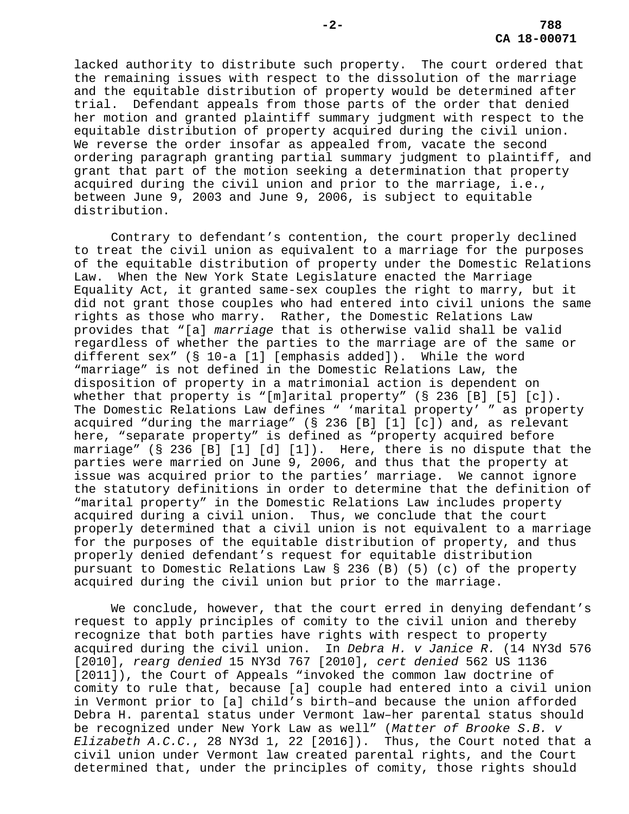lacked authority to distribute such property. The court ordered that the remaining issues with respect to the dissolution of the marriage and the equitable distribution of property would be determined after trial. Defendant appeals from those parts of the order that denied her motion and granted plaintiff summary judgment with respect to the equitable distribution of property acquired during the civil union. We reverse the order insofar as appealed from, vacate the second ordering paragraph granting partial summary judgment to plaintiff, and grant that part of the motion seeking a determination that property acquired during the civil union and prior to the marriage, i.e., between June 9, 2003 and June 9, 2006, is subject to equitable distribution.

Contrary to defendant's contention, the court properly declined to treat the civil union as equivalent to a marriage for the purposes of the equitable distribution of property under the Domestic Relations Law. When the New York State Legislature enacted the Marriage Equality Act, it granted same-sex couples the right to marry, but it did not grant those couples who had entered into civil unions the same rights as those who marry. Rather, the Domestic Relations Law provides that "[a] *marriage* that is otherwise valid shall be valid regardless of whether the parties to the marriage are of the same or different sex" (§ 10-a [1] [emphasis added]). While the word "marriage" is not defined in the Domestic Relations Law, the disposition of property in a matrimonial action is dependent on whether that property is "[m]arital property" (§ 236 [B] [5] [c]). The Domestic Relations Law defines " 'marital property' " as property acquired "during the marriage" (§ 236 [B] [1] [c]) and, as relevant here, "separate property" is defined as "property acquired before marriage" (§ 236 [B] [1] [d] [1]). Here, there is no dispute that the parties were married on June 9, 2006, and thus that the property at issue was acquired prior to the parties' marriage. We cannot ignore the statutory definitions in order to determine that the definition of "marital property" in the Domestic Relations Law includes property acquired during a civil union. Thus, we conclude that the court properly determined that a civil union is not equivalent to a marriage for the purposes of the equitable distribution of property, and thus properly denied defendant's request for equitable distribution pursuant to Domestic Relations Law § 236 (B) (5) (c) of the property acquired during the civil union but prior to the marriage.

We conclude, however, that the court erred in denying defendant's request to apply principles of comity to the civil union and thereby recognize that both parties have rights with respect to property acquired during the civil union. In *Debra H. v Janice R.* (14 NY3d 576 [2010], *rearg denied* 15 NY3d 767 [2010], *cert denied* 562 US 1136 [2011]), the Court of Appeals "invoked the common law doctrine of comity to rule that, because [a] couple had entered into a civil union in Vermont prior to [a] child's birth–and because the union afforded Debra H. parental status under Vermont law–her parental status should be recognized under New York Law as well" (*Matter of Brooke S.B. v Elizabeth A.C.C.*, 28 NY3d 1, 22 [2016]). Thus, the Court noted that a civil union under Vermont law created parental rights, and the Court determined that, under the principles of comity, those rights should